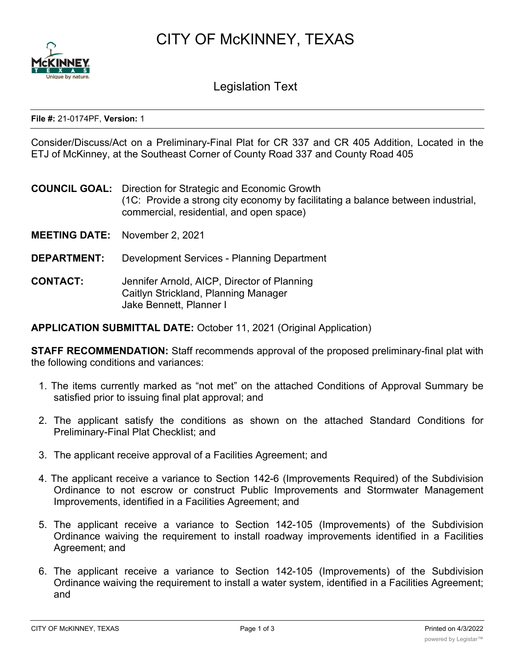CITY OF McKINNEY, TEXAS



Legislation Text

## **File #:** 21-0174PF, **Version:** 1

Consider/Discuss/Act on a Preliminary-Final Plat for CR 337 and CR 405 Addition, Located in the ETJ of McKinney, at the Southeast Corner of County Road 337 and County Road 405

**COUNCIL GOAL:** Direction for Strategic and Economic Growth (1C: Provide a strong city economy by facilitating a balance between industrial, commercial, residential, and open space)

**MEETING DATE:** November 2, 2021

**DEPARTMENT:** Development Services - Planning Department

**CONTACT:** Jennifer Arnold, AICP, Director of Planning Caitlyn Strickland, Planning Manager Jake Bennett, Planner I

**APPLICATION SUBMITTAL DATE:** October 11, 2021 (Original Application)

**STAFF RECOMMENDATION:** Staff recommends approval of the proposed preliminary-final plat with the following conditions and variances:

- 1. The items currently marked as "not met" on the attached Conditions of Approval Summary be satisfied prior to issuing final plat approval; and
- 2. The applicant satisfy the conditions as shown on the attached Standard Conditions for Preliminary-Final Plat Checklist; and
- 3. The applicant receive approval of a Facilities Agreement; and
- 4. The applicant receive a variance to Section 142-6 (Improvements Required) of the Subdivision Ordinance to not escrow or construct Public Improvements and Stormwater Management Improvements, identified in a Facilities Agreement; and
- 5. The applicant receive a variance to Section 142-105 (Improvements) of the Subdivision Ordinance waiving the requirement to install roadway improvements identified in a Facilities Agreement; and
- 6. The applicant receive a variance to Section 142-105 (Improvements) of the Subdivision Ordinance waiving the requirement to install a water system, identified in a Facilities Agreement; and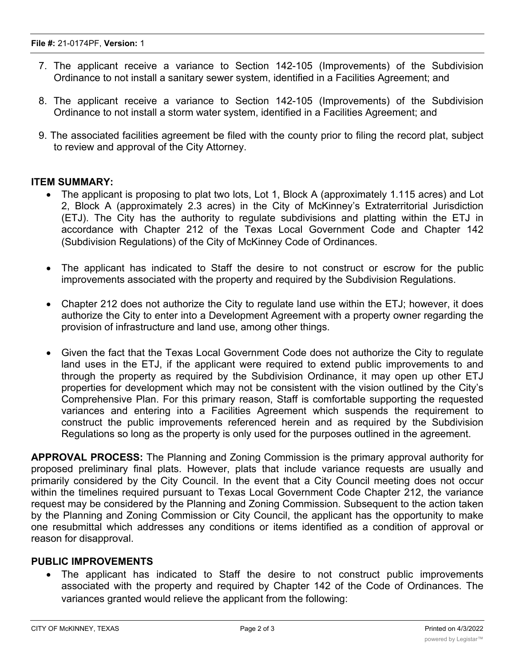- 7. The applicant receive a variance to Section 142-105 (Improvements) of the Subdivision Ordinance to not install a sanitary sewer system, identified in a Facilities Agreement; and
- 8. The applicant receive a variance to Section 142-105 (Improvements) of the Subdivision Ordinance to not install a storm water system, identified in a Facilities Agreement; and
- 9. The associated facilities agreement be filed with the county prior to filing the record plat, subject to review and approval of the City Attorney.

## **ITEM SUMMARY:**

- The applicant is proposing to plat two lots, Lot 1, Block A (approximately 1.115 acres) and Lot 2, Block A (approximately 2.3 acres) in the City of McKinney's Extraterritorial Jurisdiction (ETJ). The City has the authority to regulate subdivisions and platting within the ETJ in accordance with Chapter 212 of the Texas Local Government Code and Chapter 142 (Subdivision Regulations) of the City of McKinney Code of Ordinances.
- The applicant has indicated to Staff the desire to not construct or escrow for the public improvements associated with the property and required by the Subdivision Regulations.
- Chapter 212 does not authorize the City to regulate land use within the ETJ; however, it does authorize the City to enter into a Development Agreement with a property owner regarding the provision of infrastructure and land use, among other things.
- · Given the fact that the Texas Local Government Code does not authorize the City to regulate land uses in the ETJ, if the applicant were required to extend public improvements to and through the property as required by the Subdivision Ordinance, it may open up other ETJ properties for development which may not be consistent with the vision outlined by the City's Comprehensive Plan. For this primary reason, Staff is comfortable supporting the requested variances and entering into a Facilities Agreement which suspends the requirement to construct the public improvements referenced herein and as required by the Subdivision Regulations so long as the property is only used for the purposes outlined in the agreement.

**APPROVAL PROCESS:** The Planning and Zoning Commission is the primary approval authority for proposed preliminary final plats. However, plats that include variance requests are usually and primarily considered by the City Council. In the event that a City Council meeting does not occur within the timelines required pursuant to Texas Local Government Code Chapter 212, the variance request may be considered by the Planning and Zoning Commission. Subsequent to the action taken by the Planning and Zoning Commission or City Council, the applicant has the opportunity to make one resubmittal which addresses any conditions or items identified as a condition of approval or reason for disapproval.

## **PUBLIC IMPROVEMENTS**

The applicant has indicated to Staff the desire to not construct public improvements associated with the property and required by Chapter 142 of the Code of Ordinances. The variances granted would relieve the applicant from the following: